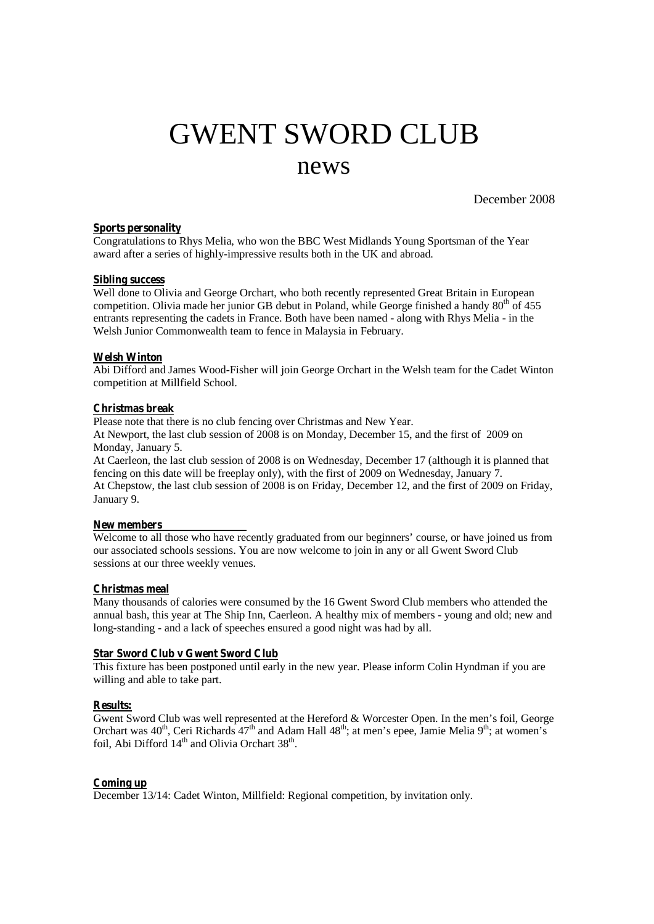# GWENT SWORD CLUB news

December 2008

## **Sports personality**

Congratulations to Rhys Melia, who won the BBC West Midlands Young Sportsman of the Year award after a series of highly-impressive results both in the UK and abroad.

### **Sibling success**

Well done to Olivia and George Orchart, who both recently represented Great Britain in European competition. Olivia made her junior GB debut in Poland, while George finished a handy  $80^{th}$  of 455 entrants representing the cadets in France. Both have been named - along with Rhys Melia - in the Welsh Junior Commonwealth team to fence in Malaysia in February.

### **Welsh Winton**

Abi Difford and James Wood-Fisher will join George Orchart in the Welsh team for the Cadet Winton competition at Millfield School.

### **Christmas break**

Please note that there is no club fencing over Christmas and New Year.

At Newport, the last club session of 2008 is on Monday, December 15, and the first of 2009 on Monday, January 5.

At Caerleon, the last club session of 2008 is on Wednesday, December 17 (although it is planned that fencing on this date will be freeplay only), with the first of 2009 on Wednesday, January 7. At Chepstow, the last club session of 2008 is on Friday, December 12, and the first of 2009 on Friday, January 9.

#### **New members**

Welcome to all those who have recently graduated from our beginners' course, or have joined us from our associated schools sessions. You are now welcome to join in any or all Gwent Sword Club sessions at our three weekly venues.

## **Christmas meal**

Many thousands of calories were consumed by the 16 Gwent Sword Club members who attended the annual bash, this year at The Ship Inn, Caerleon. A healthy mix of members - young and old; new and long-standing - and a lack of speeches ensured a good night was had by all.

### **Star Sword Club v Gwent Sword Club**

This fixture has been postponed until early in the new year. Please inform Colin Hyndman if you are willing and able to take part.

## **Results:**

Gwent Sword Club was well represented at the Hereford & Worcester Open. In the men's foil, George Orchart was 40<sup>th</sup>, Ceri Richards 47<sup>th</sup> and Adam Hall 48<sup>th</sup>; at men's epee, Jamie Melia 9<sup>th</sup>; at women's foil, Abi Difford 14<sup>th</sup> and Olivia Orchart 38<sup>th</sup>.

## **Coming up**

December 13/14: Cadet Winton, Millfield: Regional competition, by invitation only.